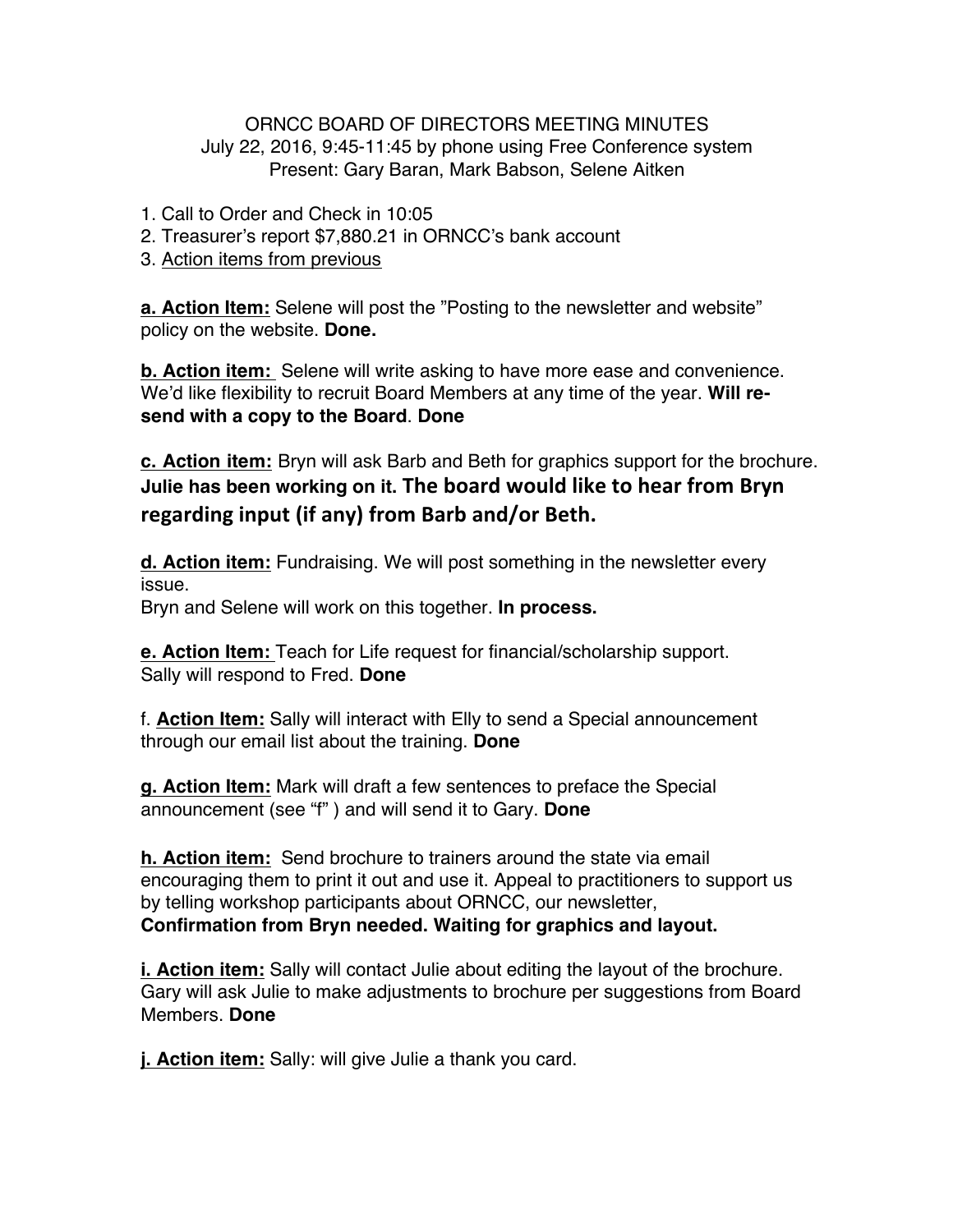## ORNCC BOARD OF DIRECTORS MEETING MINUTES July 22, 2016, 9:45-11:45 by phone using Free Conference system Present: Gary Baran, Mark Babson, Selene Aitken

- 1. Call to Order and Check in 10:05
- 2. Treasurer's report \$7,880.21 in ORNCC's bank account
- 3. Action items from previous

**a. Action Item:** Selene will post the "Posting to the newsletter and website" policy on the website. **Done.**

**b. Action item:** Selene will write asking to have more ease and convenience. We'd like flexibility to recruit Board Members at any time of the year. **Will resend with a copy to the Board**. **Done**

**c. Action item:** Bryn will ask Barb and Beth for graphics support for the brochure. **Julie has been working on it. The board would like to hear from Bryn** regarding input (if any) from Barb and/or Beth.

**d. Action item:** Fundraising. We will post something in the newsletter every issue. Bryn and Selene will work on this together. **In process.**

**e. Action Item:** Teach for Life request for financial/scholarship support. Sally will respond to Fred. **Done**

f. **Action Item:** Sally will interact with Elly to send a Special announcement through our email list about the training. **Done**

**g. Action Item:** Mark will draft a few sentences to preface the Special announcement (see "f" ) and will send it to Gary. **Done**

**h. Action item:** Send brochure to trainers around the state via email encouraging them to print it out and use it. Appeal to practitioners to support us by telling workshop participants about ORNCC, our newsletter, **Confirmation from Bryn needed. Waiting for graphics and layout.**

**i. Action item:** Sally will contact Julie about editing the layout of the brochure. Gary will ask Julie to make adjustments to brochure per suggestions from Board Members. **Done**

**j. Action item:** Sally: will give Julie a thank you card.